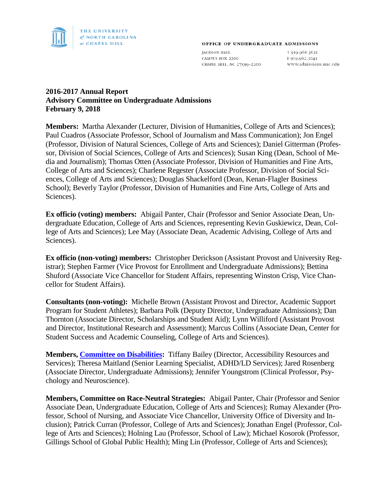

#### OFFICE OF UNDERGRADUATE ADMISSIONS

**JACKSON HALL** CAMPUS BOX 2200 CHAPEL HILL, NC 27599-2200

T 919.966.3621 F 919.962.3045 www.admissions.unc.edu

# **2016-2017 Annual Report Advisory Committee on Undergraduate Admissions February 9, 2018**

**Members:** Martha Alexander (Lecturer, Division of Humanities, College of Arts and Sciences); Paul Cuadros (Associate Professor, School of Journalism and Mass Communication); Jon Engel (Professor, Division of Natural Sciences, College of Arts and Sciences); Daniel Gitterman (Professor, Division of Social Sciences, College of Arts and Sciences); Susan King (Dean, School of Media and Journalism); Thomas Otten (Associate Professor, Division of Humanities and Fine Arts, College of Arts and Sciences); Charlene Regester (Associate Professor, Division of Social Sciences, College of Arts and Sciences); Douglas Shackelford (Dean, Kenan-Flagler Business School); Beverly Taylor (Professor, Division of Humanities and Fine Arts, College of Arts and Sciences).

**Ex officio (voting) members:** Abigail Panter, Chair (Professor and Senior Associate Dean, Undergraduate Education, College of Arts and Sciences, representing Kevin Guskiewicz, Dean, College of Arts and Sciences); Lee May (Associate Dean, Academic Advising, College of Arts and Sciences).

**Ex officio (non-voting) members:** Christopher Derickson (Assistant Provost and University Registrar); Stephen Farmer (Vice Provost for Enrollment and Undergraduate Admissions); Bettina Shuford (Associate Vice Chancellor for Student Affairs, representing Winston Crisp, Vice Chancellor for Student Affairs).

**Consultants (non-voting):** Michelle Brown (Assistant Provost and Director, Academic Support Program for Student Athletes); Barbara Polk (Deputy Director, Undergraduate Admissions); Dan Thornton (Associate Director, Scholarships and Student Aid); Lynn Williford (Assistant Provost and Director, Institutional Research and Assessment); Marcus Collins (Associate Dean, Center for Student Success and Academic Counseling, College of Arts and Sciences).

**Members, [Committee on Disabilities:](http://faccoun.unc.edu/committees-2/appointed-committees/undergraduate-admissions-committee/committee-on-disabilities/)** Tiffany Bailey (Director, Accessibility Resources and Services); Theresa Maitland (Senior Learning Specialist, ADHD/LD Services); Jared Rosenberg (Associate Director, Undergraduate Admissions); Jennifer Youngstrom (Clinical Professor, Psychology and Neuroscience).

**Members, Committee on Race-Neutral Strategies:** Abigail Panter, Chair (Professor and Senior Associate Dean, Undergraduate Education, College of Arts and Sciences); Rumay Alexander (Professor, School of Nursing, and Associate Vice Chancellor, University Office of Diversity and Inclusion); Patrick Curran (Professor, College of Arts and Sciences); Jonathan Engel (Professor, College of Arts and Sciences); Holning Lau (Professor, School of Law); Michael Kosorok (Professor, Gillings School of Global Public Health); Ming Lin (Professor, College of Arts and Sciences);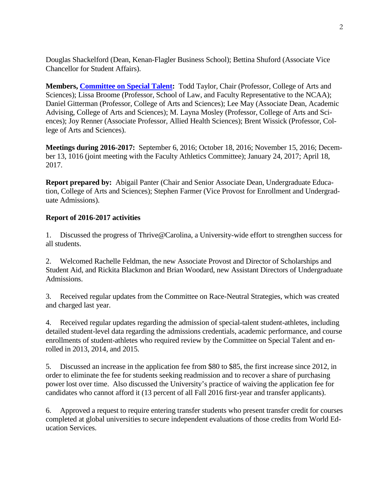Douglas Shackelford (Dean, Kenan-Flagler Business School); Bettina Shuford (Associate Vice Chancellor for Student Affairs).

**Members, [Committee on Special Talent:](http://faccoun.unc.edu/committees-2/appointed-committees/undergraduate-admissions-committee/committee-on-special-talent/)** Todd Taylor, Chair (Professor, College of Arts and Sciences); Lissa Broome (Professor, School of Law, and Faculty Representative to the NCAA); Daniel Gitterman (Professor, College of Arts and Sciences); Lee May (Associate Dean, Academic Advising, College of Arts and Sciences); M. Layna Mosley (Professor, College of Arts and Sciences); Joy Renner (Associate Professor, Allied Health Sciences); Brent Wissick (Professor, College of Arts and Sciences).

**Meetings during 2016-2017:** September 6, 2016; October 18, 2016; November 15, 2016; December 13, 1016 (joint meeting with the Faculty Athletics Committee); January 24, 2017; April 18, 2017.

**Report prepared by:** Abigail Panter (Chair and Senior Associate Dean, Undergraduate Education, College of Arts and Sciences); Stephen Farmer (Vice Provost for Enrollment and Undergraduate Admissions).

### **Report of 2016-2017 activities**

1. Discussed the progress of Thrive@Carolina, a University-wide effort to strengthen success for all students.

2. Welcomed Rachelle Feldman, the new Associate Provost and Director of Scholarships and Student Aid, and Rickita Blackmon and Brian Woodard, new Assistant Directors of Undergraduate Admissions.

3. Received regular updates from the Committee on Race-Neutral Strategies, which was created and charged last year.

4. Received regular updates regarding the admission of special-talent student-athletes, including detailed student-level data regarding the admissions credentials, academic performance, and course enrollments of student-athletes who required review by the Committee on Special Talent and enrolled in 2013, 2014, and 2015.

5. Discussed an increase in the application fee from \$80 to \$85, the first increase since 2012, in order to eliminate the fee for students seeking readmission and to recover a share of purchasing power lost over time. Also discussed the University's practice of waiving the application fee for candidates who cannot afford it (13 percent of all Fall 2016 first-year and transfer applicants).

6. Approved a request to require entering transfer students who present transfer credit for courses completed at global universities to secure independent evaluations of those credits from World Education Services.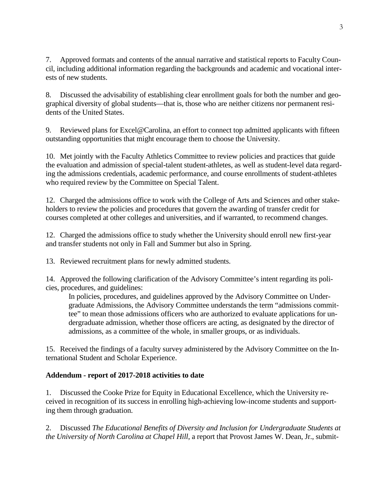7. Approved formats and contents of the annual narrative and statistical reports to Faculty Council, including additional information regarding the backgrounds and academic and vocational interests of new students.

8. Discussed the advisability of establishing clear enrollment goals for both the number and geographical diversity of global students—that is, those who are neither citizens nor permanent residents of the United States.

9. Reviewed plans for Excel@Carolina, an effort to connect top admitted applicants with fifteen outstanding opportunities that might encourage them to choose the University.

10. Met jointly with the Faculty Athletics Committee to review policies and practices that guide the evaluation and admission of special-talent student-athletes, as well as student-level data regarding the admissions credentials, academic performance, and course enrollments of student-athletes who required review by the Committee on Special Talent.

12. Charged the admissions office to work with the College of Arts and Sciences and other stakeholders to review the policies and procedures that govern the awarding of transfer credit for courses completed at other colleges and universities, and if warranted, to recommend changes.

12. Charged the admissions office to study whether the University should enroll new first-year and transfer students not only in Fall and Summer but also in Spring.

13. Reviewed recruitment plans for newly admitted students.

14. Approved the following clarification of the Advisory Committee's intent regarding its policies, procedures, and guidelines:

In policies, procedures, and guidelines approved by the Advisory Committee on Undergraduate Admissions, the Advisory Committee understands the term "admissions committee" to mean those admissions officers who are authorized to evaluate applications for undergraduate admission, whether those officers are acting, as designated by the director of admissions, as a committee of the whole, in smaller groups, or as individuals.

15. Received the findings of a faculty survey administered by the Advisory Committee on the International Student and Scholar Experience.

# **Addendum - report of 2017-2018 activities to date**

1. Discussed the Cooke Prize for Equity in Educational Excellence, which the University received in recognition of its success in enrolling high-achieving low-income students and supporting them through graduation.

2. Discussed *The Educational Benefits of Diversity and Inclusion for Undergraduate Students at the University of North Carolina at Chapel Hill*, a report that Provost James W. Dean, Jr., submit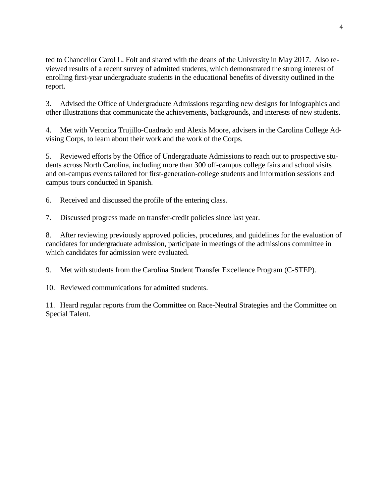ted to Chancellor Carol L. Folt and shared with the deans of the University in May 2017. Also reviewed results of a recent survey of admitted students, which demonstrated the strong interest of enrolling first-year undergraduate students in the educational benefits of diversity outlined in the report.

3. Advised the Office of Undergraduate Admissions regarding new designs for infographics and other illustrations that communicate the achievements, backgrounds, and interests of new students.

4. Met with Veronica Trujillo-Cuadrado and Alexis Moore, advisers in the Carolina College Advising Corps, to learn about their work and the work of the Corps.

5. Reviewed efforts by the Office of Undergraduate Admissions to reach out to prospective students across North Carolina, including more than 300 off-campus college fairs and school visits and on-campus events tailored for first-generation-college students and information sessions and campus tours conducted in Spanish.

6. Received and discussed the profile of the entering class.

7. Discussed progress made on transfer-credit policies since last year.

8. After reviewing previously approved policies, procedures, and guidelines for the evaluation of candidates for undergraduate admission, participate in meetings of the admissions committee in which candidates for admission were evaluated.

9. Met with students from the Carolina Student Transfer Excellence Program (C-STEP).

10. Reviewed communications for admitted students.

11. Heard regular reports from the Committee on Race-Neutral Strategies and the Committee on Special Talent.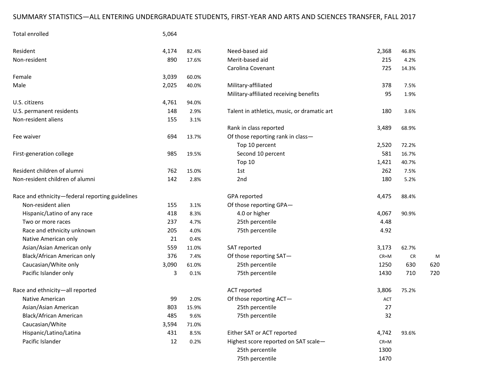# SUMMARY STATISTICS—ALL ENTERING UNDERGRADUATE STUDENTS, FIRST-YEAR AND ARTS AND SCIENCES TRANSFER, FALL 2017

| Total enrolled                                  | 5,064 |       |                                             |            |       |     |
|-------------------------------------------------|-------|-------|---------------------------------------------|------------|-------|-----|
| Resident                                        | 4,174 | 82.4% | Need-based aid                              | 2,368      | 46.8% |     |
| Non-resident                                    | 890   | 17.6% | Merit-based aid                             | 215        | 4.2%  |     |
|                                                 |       |       | Carolina Covenant                           | 725        | 14.3% |     |
| Female                                          | 3,039 | 60.0% |                                             |            |       |     |
| Male                                            | 2,025 | 40.0% | Military-affiliated                         | 378        | 7.5%  |     |
|                                                 |       |       | Military-affiliated receiving benefits      | 95         | 1.9%  |     |
| U.S. citizens                                   | 4,761 | 94.0% |                                             |            |       |     |
| U.S. permanent residents                        | 148   | 2.9%  | Talent in athletics, music, or dramatic art | 180        | 3.6%  |     |
| Non-resident aliens                             | 155   | 3.1%  |                                             |            |       |     |
|                                                 |       |       | Rank in class reported                      | 3,489      | 68.9% |     |
| Fee waiver                                      | 694   | 13.7% | Of those reporting rank in class-           |            |       |     |
|                                                 |       |       | Top 10 percent                              | 2,520      | 72.2% |     |
| First-generation college                        | 985   | 19.5% | Second 10 percent                           | 581        | 16.7% |     |
|                                                 |       |       | Top 10                                      | 1,421      | 40.7% |     |
| Resident children of alumni                     | 762   | 15.0% | 1st                                         | 262        | 7.5%  |     |
| Non-resident children of alumni                 | 142   | 2.8%  | 2nd                                         | 180        | 5.2%  |     |
| Race and ethnicity-federal reporting guidelines |       |       | GPA reported                                | 4,475      | 88.4% |     |
| Non-resident alien                              | 155   | 3.1%  | Of those reporting GPA-                     |            |       |     |
| Hispanic/Latino of any race                     | 418   | 8.3%  | 4.0 or higher                               | 4,067      | 90.9% |     |
| Two or more races                               | 237   | 4.7%  | 25th percentile                             | 4.48       |       |     |
| Race and ethnicity unknown                      | 205   | 4.0%  | 75th percentile                             | 4.92       |       |     |
| Native American only                            | 21    | 0.4%  |                                             |            |       |     |
| Asian/Asian American only                       | 559   | 11.0% | SAT reported                                | 3,173      | 62.7% |     |
| Black/African American only                     | 376   | 7.4%  | Of those reporting SAT-                     | $CR+M$     | CR    | N   |
| Caucasian/White only                            | 3,090 | 61.0% | 25th percentile                             | 1250       | 630   | 620 |
| Pacific Islander only                           | 3     | 0.1%  | 75th percentile                             | 1430       | 710   | 720 |
| Race and ethnicity-all reported                 |       |       | ACT reported                                | 3,806      | 75.2% |     |
| Native American                                 | 99    | 2.0%  | Of those reporting ACT-                     | <b>ACT</b> |       |     |
| Asian/Asian American                            | 803   | 15.9% | 25th percentile                             | 27         |       |     |
| Black/African American                          | 485   | 9.6%  | 75th percentile                             | 32         |       |     |
| Caucasian/White                                 | 3,594 | 71.0% |                                             |            |       |     |
| Hispanic/Latino/Latina                          | 431   | 8.5%  | Either SAT or ACT reported                  | 4,742      | 93.6% |     |
| Pacific Islander                                | 12    | 0.2%  | Highest score reported on SAT scale-        | $CR+M$     |       |     |
|                                                 |       |       | 25th percentile                             | 1300       |       |     |
|                                                 |       |       | 75th percentile                             | 1470       |       |     |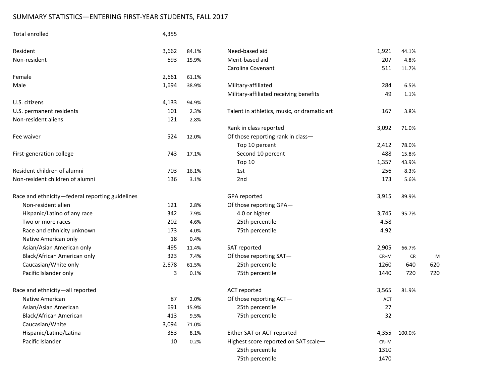# SUMMARY STATISTICS—ENTERING FIRST-YEAR STUDENTS, FALL 2017

| Total enrolled                                  | 4,355 |       |                                             |            |        |                 |
|-------------------------------------------------|-------|-------|---------------------------------------------|------------|--------|-----------------|
| Resident                                        | 3,662 | 84.1% | Need-based aid                              | 1,921      | 44.1%  |                 |
| Non-resident                                    | 693   | 15.9% | Merit-based aid                             | 207        | 4.8%   |                 |
|                                                 |       |       | Carolina Covenant                           | 511        | 11.7%  |                 |
| Female                                          | 2,661 | 61.1% |                                             |            |        |                 |
| Male                                            | 1,694 | 38.9% | Military-affiliated                         | 284        | 6.5%   |                 |
|                                                 |       |       | Military-affiliated receiving benefits      | 49         | 1.1%   |                 |
| U.S. citizens                                   | 4,133 | 94.9% |                                             |            |        |                 |
| U.S. permanent residents                        | 101   | 2.3%  | Talent in athletics, music, or dramatic art | 167        | 3.8%   |                 |
| Non-resident aliens                             | 121   | 2.8%  |                                             |            |        |                 |
|                                                 |       |       | Rank in class reported                      | 3,092      | 71.0%  |                 |
| Fee waiver                                      | 524   | 12.0% | Of those reporting rank in class-           |            |        |                 |
|                                                 |       |       | Top 10 percent                              | 2,412      | 78.0%  |                 |
| First-generation college                        | 743   | 17.1% | Second 10 percent                           | 488        | 15.8%  |                 |
|                                                 |       |       | Top 10                                      | 1,357      | 43.9%  |                 |
| Resident children of alumni                     | 703   | 16.1% | 1st                                         | 256        | 8.3%   |                 |
| Non-resident children of alumni                 | 136   | 3.1%  | 2nd                                         | 173        | 5.6%   |                 |
| Race and ethnicity-federal reporting guidelines |       |       | GPA reported                                | 3,915      | 89.9%  |                 |
| Non-resident alien                              | 121   | 2.8%  | Of those reporting GPA-                     |            |        |                 |
| Hispanic/Latino of any race                     | 342   | 7.9%  | 4.0 or higher                               | 3,745      | 95.7%  |                 |
| Two or more races                               | 202   | 4.6%  | 25th percentile                             | 4.58       |        |                 |
| Race and ethnicity unknown                      | 173   | 4.0%  | 75th percentile                             | 4.92       |        |                 |
| Native American only                            | 18    | 0.4%  |                                             |            |        |                 |
| Asian/Asian American only                       | 495   | 11.4% | SAT reported                                | 2,905      | 66.7%  |                 |
| Black/African American only                     | 323   | 7.4%  | Of those reporting SAT-                     | $CR+M$     | CR     | N               |
| Caucasian/White only                            | 2,678 | 61.5% | 25th percentile                             | 1260       | 640    | 620             |
| Pacific Islander only                           | 3     | 0.1%  | 75th percentile                             | 1440       | 720    | 72 <sub>C</sub> |
| Race and ethnicity-all reported                 |       |       | ACT reported                                | 3,565      | 81.9%  |                 |
| Native American                                 | 87    | 2.0%  | Of those reporting ACT-                     | <b>ACT</b> |        |                 |
| Asian/Asian American                            | 691   | 15.9% | 25th percentile                             | 27         |        |                 |
| Black/African American                          | 413   | 9.5%  | 75th percentile                             | 32         |        |                 |
| Caucasian/White                                 | 3,094 | 71.0% |                                             |            |        |                 |
| Hispanic/Latino/Latina                          | 353   | 8.1%  | Either SAT or ACT reported                  | 4,355      | 100.0% |                 |
| Pacific Islander                                | 10    | 0.2%  | Highest score reported on SAT scale-        | $CR+M$     |        |                 |
|                                                 |       |       | 25th percentile                             | 1310       |        |                 |
|                                                 |       |       | 75th percentile                             | 1470       |        |                 |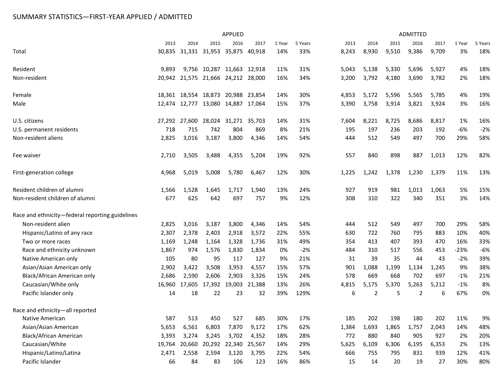# SUMMARY STATISTICS—FIRST-YEAR APPLIED / ADMITTED

|                                                 | <b>APPLIED</b> |                                    |                            |                      |        |        | <b>ADMITTED</b> |       |                |       |                |       |        |         |
|-------------------------------------------------|----------------|------------------------------------|----------------------------|----------------------|--------|--------|-----------------|-------|----------------|-------|----------------|-------|--------|---------|
|                                                 | 2013           | 2014                               | 2015                       | 2016                 | 2017   | 1 Year | 5 Years         | 2013  | 2014           | 2015  | 2016           | 2017  | 1 Year | 5 Years |
| Total                                           |                | 30,835 31,331 31,953 35,875        |                            |                      | 40,918 | 14%    | 33%             | 8,243 | 8,930          | 9,510 | 9,386          | 9,709 | 3%     | 18%     |
| Resident                                        | 9,893          |                                    | 9,756 10,287 11,663 12,918 |                      |        | 11%    | 31%             | 5,043 | 5,138          | 5,330 | 5,696          | 5,927 | 4%     | 18%     |
| Non-resident                                    |                | 20,942 21,575 21,666 24,212 28,000 |                            |                      |        | 16%    | 34%             | 3,200 | 3,792          | 4,180 | 3,690          | 3,782 | 2%     | 18%     |
| Female                                          |                | 18,361 18,554 18,873 20,988 23,854 |                            |                      |        | 14%    | 30%             | 4,853 | 5,172          | 5,596 | 5,565          | 5,785 | 4%     | 19%     |
| Male                                            |                | 12,474 12,777 13,080 14,887 17,064 |                            |                      |        | 15%    | 37%             | 3,390 | 3,758          | 3,914 | 3,821          | 3,924 | 3%     | 16%     |
| U.S. citizens                                   |                | 27,292 27,600                      |                            | 28,024 31,271 35,703 |        | 14%    | 31%             | 7,604 | 8,221          | 8,725 | 8,686          | 8,817 | 1%     | 16%     |
| U.S. permanent residents                        | 718            | 715                                | 742                        | 804                  | 869    | 8%     | 21%             | 195   | 197            | 236   | 203            | 192   | -6%    | $-2%$   |
| Non-resident aliens                             | 2,825          | 3,016                              | 3,187                      | 3,800                | 4,346  | 14%    | 54%             | 444   | 512            | 549   | 497            | 700   | 29%    | 58%     |
| Fee waiver                                      | 2,710          | 3,505                              | 3,488                      | 4,355                | 5,204  | 19%    | 92%             | 557   | 840            | 898   | 887            | 1,013 | 12%    | 82%     |
| First-generation college                        | 4,968          | 5,019                              | 5,008                      | 5,780                | 6,467  | 12%    | 30%             | 1,225 | 1,242          | 1,378 | 1,230          | 1,379 | 11%    | 13%     |
| Resident children of alumni                     | 1,566          | 1,528                              | 1,645                      | 1,717                | 1,940  | 13%    | 24%             | 927   | 919            | 981   | 1,013          | 1,063 | 5%     | 15%     |
| Non-resident children of alumni                 | 677            | 625                                | 642                        | 697                  | 757    | 9%     | 12%             | 308   | 310            | 322   | 340            | 351   | 3%     | 14%     |
| Race and ethnicity-federal reporting guidelines |                |                                    |                            |                      |        |        |                 |       |                |       |                |       |        |         |
| Non-resident alien                              | 2,825          | 3,016                              | 3,187                      | 3,800                | 4,346  | 14%    | 54%             | 444   | 512            | 549   | 497            | 700   | 29%    | 58%     |
| Hispanic/Latino of any race                     | 2,307          | 2,378                              | 2,403                      | 2,918                | 3,572  | 22%    | 55%             | 630   | 722            | 760   | 795            | 883   | 10%    | 40%     |
| Two or more races                               | 1,169          | 1,248                              | 1,164                      | 1,328                | 1,736  | 31%    | 49%             | 354   | 413            | 407   | 393            | 470   | 16%    | 33%     |
| Race and ethnicity unknown                      | 1,867          | 974                                | 1,576                      | 1,830                | 1,834  | 0%     | $-2%$           | 484   | 310            | 517   | 556            | 453   | $-23%$ | $-6%$   |
| Native American only                            | 105            | 80                                 | 95                         | 117                  | 127    | 9%     | 21%             | 31    | 39             | 35    | 44             | 43    | $-2%$  | 39%     |
| Asian/Asian American only                       | 2,902          | 3,422                              | 3,508                      | 3,953                | 4,557  | 15%    | 57%             | 901   | 1,088          | 1,199 | 1,134          | 1,245 | 9%     | 38%     |
| Black/African American only                     | 2,686          | 2,590                              | 2,606                      | 2,903                | 3,326  | 15%    | 24%             | 578   | 669            | 668   | 702            | 697   | $-1%$  | 21%     |
| Caucasian/White only                            | 16,960         | 17,605                             | 17,392                     | 19,003               | 21,388 | 13%    | 26%             | 4,815 | 5,175          | 5,370 | 5,263          | 5,212 | $-1%$  | 8%      |
| Pacific Islander only                           | 14             | 18                                 | 22                         | 23                   | 32     | 39%    | 129%            | 6     | $\overline{2}$ | 5     | $\overline{2}$ | 6     | 67%    | 0%      |
| Race and ethnicity-all reported                 |                |                                    |                            |                      |        |        |                 |       |                |       |                |       |        |         |
| Native American                                 | 587            | 513                                | 450                        | 527                  | 685    | 30%    | 17%             | 185   | 202            | 198   | 180            | 202   | 11%    | 9%      |
| Asian/Asian American                            | 5,653          | 6,561                              | 6,803                      | 7,870                | 9,172  | 17%    | 62%             | 1,384 | 1,693          | 1,865 | 1,757          | 2,043 | 14%    | 48%     |
| <b>Black/African American</b>                   | 3,393          | 3,274                              | 3,245                      | 3,702                | 4,352  | 18%    | 28%             | 772   | 880            | 840   | 905            | 927   | 2%     | 20%     |
| Caucasian/White                                 | 19,764         | 20,660                             | 20,292                     | 22,340               | 25,567 | 14%    | 29%             | 5,625 | 6,109          | 6,306 | 6,195          | 6,353 | 2%     | 13%     |
| Hispanic/Latino/Latina                          | 2,471          | 2,558                              | 2,594                      | 3,120                | 3,795  | 22%    | 54%             | 666   | 755            | 795   | 831            | 939   | 12%    | 41%     |
| Pacific Islander                                | 66             | 84                                 | 83                         | 106                  | 123    | 16%    | 86%             | 15    | 14             | 20    | 19             | 27    | 30%    | 80%     |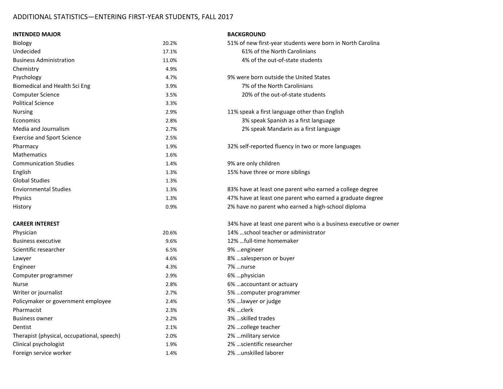### ADDITIONAL STATISTICS—ENTERING FIRST-YEAR STUDENTS, FALL 2017

# **INTENDED MAJOR BACKGROUND** Biology 20.2% 51% of new first-year students were born in North Carolina Undecided 17.1% 61% of the North Carolinians Business Administration 11.0% 4% of the out-of-state students Chemistry 4.9% Psychology 4.7% 9% were born outside the United States Biomedical and Health Sci Eng 3.9% 7% of the North Carolinians Computer Science 3.5% 20% of the out-of-state students Political Science 3.3% Nursing 2.9% 11% speak a first language other than English Economics 2.8% 3% speak Spanish as a first language Media and Journalism 2.7% 2% speak Mandarin as a first language Exercise and Sport Science 2.5% Pharmacy 1.9% 32% self-reported fluency in two or more languages Mathematics 1.6% Communication Studies **1.4%** 9% are only children English 1.3% 1.3% 15% have three or more siblings Global Studies 1.3% Enviornmental Studies 1.3% 83% have at least one parent who earned a college degree Physics **1.3%** 1.3% 47% have at least one parent who earned a graduate degree History 0.9% 2% have no parent who earned a high-school diploma **CAREER INTEREST** 34% have at least one parent who is a business executive or owner Physician 20.6% 14% …school teacher or administrator Business executive 9.6% 12% …full-time homemaker Scientific researcher 6.5% 9% …engineer Lawyer 4.6% 8% …salesperson or buyer Engineer 4.3% 7% …nurse Computer programmer 2.9% 6% …physician Nurse 2.8% 6% …accountant or actuary 2.8% 6% ... accountant or actuary Writer or journalist 2.7% 5% …computer programmer Policymaker or government employee 2.4% 5% …lawyer or judge Pharmacist 2.3% 4% …clerk Business owner 2.2% 3% …skilled trades

Dentist 2.1% 2% …college teacher Therapist (physical, occupational, speech) 2.0% 2% …military service Clinical psychologist 1.9% 2% …scientific researcher Foreign service worker 1.4% 2% …unskilled laborer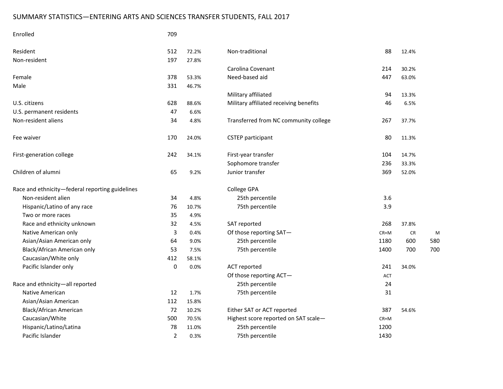# SUMMARY STATISTICS—ENTERING ARTS AND SCIENCES TRANSFER STUDENTS, FALL 2017

| Enrolled                                        | 709            |       |                                        |        |           |     |
|-------------------------------------------------|----------------|-------|----------------------------------------|--------|-----------|-----|
| Resident                                        | 512            | 72.2% | Non-traditional                        | 88     | 12.4%     |     |
| Non-resident                                    | 197            | 27.8% |                                        |        |           |     |
|                                                 |                |       | Carolina Covenant                      | 214    | 30.2%     |     |
| Female                                          | 378            | 53.3% | Need-based aid                         | 447    | 63.0%     |     |
| Male                                            | 331            | 46.7% |                                        |        |           |     |
|                                                 |                |       | Military affiliated                    | 94     | 13.3%     |     |
| U.S. citizens                                   | 628            | 88.6% | Military affiliated receiving benefits | 46     | 6.5%      |     |
| U.S. permanent residents                        | 47             | 6.6%  |                                        |        |           |     |
| Non-resident aliens                             | 34             | 4.8%  | Transferred from NC community college  | 267    | 37.7%     |     |
| Fee waiver                                      | 170            | 24.0% | <b>CSTEP</b> participant               | 80     | 11.3%     |     |
| First-generation college                        | 242            | 34.1% | First-year transfer                    | 104    | 14.7%     |     |
|                                                 |                |       | Sophomore transfer                     | 236    | 33.3%     |     |
| Children of alumni                              | 65             | 9.2%  | Junior transfer                        | 369    | 52.0%     |     |
| Race and ethnicity-federal reporting guidelines |                |       | College GPA                            |        |           |     |
| Non-resident alien                              | 34             | 4.8%  | 25th percentile                        | 3.6    |           |     |
| Hispanic/Latino of any race                     | 76             | 10.7% | 75th percentile                        | 3.9    |           |     |
| Two or more races                               | 35             | 4.9%  |                                        |        |           |     |
| Race and ethnicity unknown                      | 32             | 4.5%  | SAT reported                           | 268    | 37.8%     |     |
| Native American only                            | 3              | 0.4%  | Of those reporting SAT-                | $CR+M$ | <b>CR</b> | N   |
| Asian/Asian American only                       | 64             | 9.0%  | 25th percentile                        | 1180   | 600       | 580 |
| Black/African American only                     | 53             | 7.5%  | 75th percentile                        | 1400   | 700       | 700 |
| Caucasian/White only                            | 412            | 58.1% |                                        |        |           |     |
| Pacific Islander only                           | 0              | 0.0%  | ACT reported                           | 241    | 34.0%     |     |
|                                                 |                |       | Of those reporting ACT-                | ACT    |           |     |
| Race and ethnicity-all reported                 |                |       | 25th percentile                        | 24     |           |     |
| Native American                                 | 12             | 1.7%  | 75th percentile                        | 31     |           |     |
| Asian/Asian American                            | 112            | 15.8% |                                        |        |           |     |
| Black/African American                          | 72             | 10.2% | Either SAT or ACT reported             | 387    | 54.6%     |     |
| Caucasian/White                                 | 500            | 70.5% | Highest score reported on SAT scale-   | $CR+M$ |           |     |
| Hispanic/Latino/Latina                          | 78             | 11.0% | 25th percentile                        | 1200   |           |     |
| Pacific Islander                                | $\overline{2}$ | 0.3%  | 75th percentile                        | 1430   |           |     |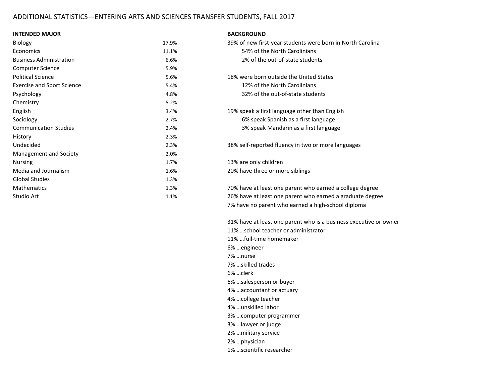### ADDITIONAL STATISTICS—ENTERING ARTS AND SCIENCES TRANSFER STUDENTS, FALL 2017

#### **INTENDED MAJOR B**

|  | <b>3ACKGROUND</b> |  |  |
|--|-------------------|--|--|
|  |                   |  |  |

| <b>Biology</b>                    | 17.9% | 39% of new first-year students were born in North Carolina |
|-----------------------------------|-------|------------------------------------------------------------|
| Economics                         | 11.1% | 54% of the North Carolinians                               |
| <b>Business Administration</b>    | 6.6%  | 2% of the out-of-state students                            |
| <b>Computer Science</b>           | 5.9%  |                                                            |
| <b>Political Science</b>          | 5.6%  | 18% were born outside the United States                    |
| <b>Exercise and Sport Science</b> | 5.4%  | 12% of the North Carolinians                               |
| Psychology                        | 4.8%  | 32% of the out-of-state students                           |
| Chemistry                         | 5.2%  |                                                            |
| English                           | 3.4%  | 19% speak a first language other than English              |
| Sociology                         | 2.7%  | 6% speak Spanish as a first language                       |
| <b>Communication Studies</b>      | 2.4%  | 3% speak Mandarin as a first language                      |
| History                           | 2.3%  |                                                            |
| Undecided                         | 2.3%  | 38% self-reported fluency in two or more languages         |
| Management and Society            | 2.0%  |                                                            |
| <b>Nursing</b>                    | 1.7%  | 13% are only children                                      |
| Media and Journalism              | 1.6%  | 20% have three or more siblings                            |
| <b>Global Studies</b>             | 1.3%  |                                                            |
| <b>Mathematics</b>                | 1.3%  | 70% have at least one parent who earned a college degree   |
| Studio Art                        | 1.1%  | 26% have at least one parent who earned a graduate degree  |

| 39% of new first-year students were born in North Carolina |
|------------------------------------------------------------|
| 54% of the North Carolinians                               |
| 2% of the out-of-state students                            |

7% have no parent who earned a high-school diploma

31% have at least one parent who is a business executive or owner

- 11% …school teacher or administrator
- 11% …full-time homemaker
- 6% …engineer
- 7% …nurse
- 7% …skilled trades
- 6% …clerk
- 6% …salesperson or buyer
- 4% …accountant or actuary
- 4% …college teacher
- 4% …unskilled labor
- 3% …computer programmer
- 3% …lawyer or judge
- 2% …military service
- 2% …physician
- 1% …scientific researcher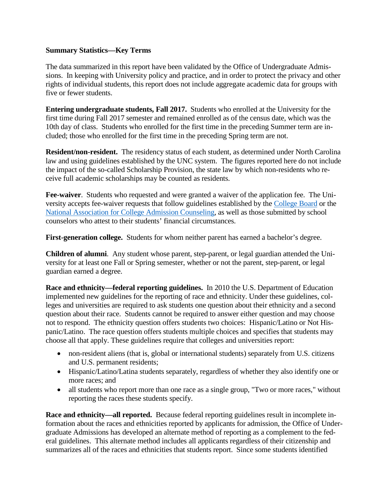### **Summary Statistics—Key Terms**

The data summarized in this report have been validated by the Office of Undergraduate Admissions. In keeping with University policy and practice, and in order to protect the privacy and other rights of individual students, this report does not include aggregate academic data for groups with five or fewer students.

**Entering undergraduate students, Fall 2017.** Students who enrolled at the University for the first time during Fall 2017 semester and remained enrolled as of the census date, which was the 10th day of class. Students who enrolled for the first time in the preceding Summer term are included; those who enrolled for the first time in the preceding Spring term are not.

**Resident/non-resident.** The residency status of each student, as determined under North Carolina law and using guidelines established by the UNC system. The figures reported here do not include the impact of the so-called Scholarship Provision, the state law by which non-residents who receive full academic scholarships may be counted as residents.

**Fee-waiver**. Students who requested and were granted a waiver of the application fee. The University accepts fee-waiver requests that follow guidelines established by the [College Board](https://professionals.collegeboard.com/guidance/applications/fee-waivers) or the [National Association for College Admission Counseling,](http://www.nacacnet.org/studentinfo/feewaiver/Pages/default.aspx) as well as those submitted by school counselors who attest to their students' financial circumstances.

**First-generation college.** Students for whom neither parent has earned a bachelor's degree.

**Children of alumni**. Any student whose parent, step-parent, or legal guardian attended the University for at least one Fall or Spring semester, whether or not the parent, step-parent, or legal guardian earned a degree.

**Race and ethnicity—federal reporting guidelines.** In 2010 the U.S. Department of Education implemented new guidelines for the reporting of race and ethnicity. Under these guidelines, colleges and universities are required to ask students one question about their ethnicity and a second question about their race. Students cannot be required to answer either question and may choose not to respond. The ethnicity question offers students two choices: Hispanic/Latino or Not Hispanic/Latino. The race question offers students multiple choices and specifies that students may choose all that apply. These guidelines require that colleges and universities report:

- non-resident aliens (that is, global or international students) separately from U.S. citizens and U.S. permanent residents;
- Hispanic/Latino/Latina students separately, regardless of whether they also identify one or more races; and
- all students who report more than one race as a single group, "Two or more races," without reporting the races these students specify.

**Race and ethnicity—all reported.** Because federal reporting guidelines result in incomplete information about the races and ethnicities reported by applicants for admission, the Office of Undergraduate Admissions has developed an alternate method of reporting as a complement to the federal guidelines. This alternate method includes all applicants regardless of their citizenship and summarizes all of the races and ethnicities that students report. Since some students identified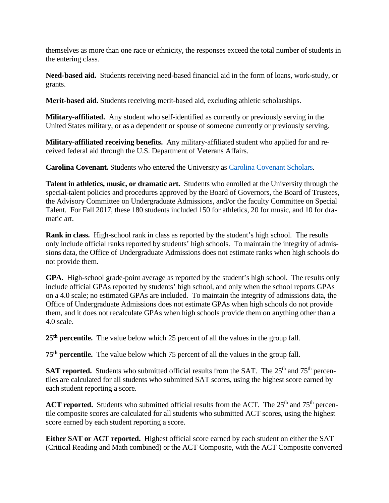themselves as more than one race or ethnicity, the responses exceed the total number of students in the entering class.

**Need-based aid.** Students receiving need-based financial aid in the form of loans, work-study, or grants.

**Merit-based aid.** Students receiving merit-based aid, excluding athletic scholarships.

**Military-affiliated.** Any student who self-identified as currently or previously serving in the United States military, or as a dependent or spouse of someone currently or previously serving.

**Military-affiliated receiving benefits.** Any military-affiliated student who applied for and received federal aid through the U.S. Department of Veterans Affairs.

**Carolina Covenant.** Students who entered the University as [Carolina Covenant Scholars.](http://carolinacovenant.unc.edu/)

**Talent in athletics, music, or dramatic art.** Students who enrolled at the University through the special-talent policies and procedures approved by the Board of Governors, the Board of Trustees, the Advisory Committee on Undergraduate Admissions, and/or the faculty Committee on Special Talent. For Fall 2017, these 180 students included 150 for athletics, 20 for music, and 10 for dramatic art.

**Rank in class.** High-school rank in class as reported by the student's high school. The results only include official ranks reported by students' high schools. To maintain the integrity of admissions data, the Office of Undergraduate Admissions does not estimate ranks when high schools do not provide them.

**GPA.** High-school grade-point average as reported by the student's high school. The results only include official GPAs reported by students' high school, and only when the school reports GPAs on a 4.0 scale; no estimated GPAs are included. To maintain the integrity of admissions data, the Office of Undergraduate Admissions does not estimate GPAs when high schools do not provide them, and it does not recalculate GPAs when high schools provide them on anything other than a 4.0 scale.

**25th percentile.** The value below which 25 percent of all the values in the group fall.

**75th percentile.** The value below which 75 percent of all the values in the group fall.

**SAT reported.** Students who submitted official results from the SAT. The 25<sup>th</sup> and 75<sup>th</sup> percentiles are calculated for all students who submitted SAT scores, using the highest score earned by each student reporting a score.

**ACT reported.** Students who submitted official results from the ACT. The  $25<sup>th</sup>$  and  $75<sup>th</sup>$  percentile composite scores are calculated for all students who submitted ACT scores, using the highest score earned by each student reporting a score.

**Either SAT or ACT reported.** Highest official score earned by each student on either the SAT (Critical Reading and Math combined) or the ACT Composite, with the ACT Composite converted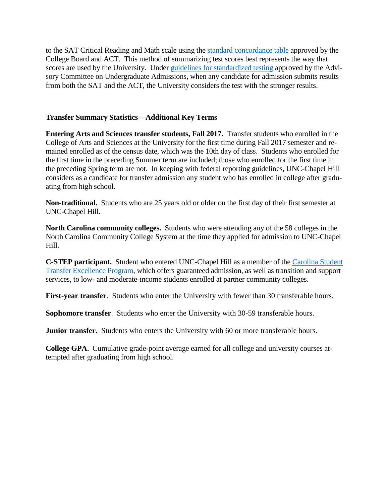to the SAT Critical Reading and Math scale using the [standard concordance table](http://research.collegeboard.org/sites/default/files/publications/2012/7/researchnote-2009-40-act-sat-concordance-tables.pdf) approved by the College Board and ACT. This method of summarizing test scores best represents the way that scores are used by the University. Under [guidelines for standardized testing](http://admissions.unc.edu/files/2013/09/Guidelines_for_Standardized_Testing.pdf) approved by the Advisory Committee on Undergraduate Admissions, when any candidate for admission submits results from both the SAT and the ACT, the University considers the test with the stronger results.

### **Transfer Summary Statistics—Additional Key Terms**

**Entering Arts and Sciences transfer students, Fall 2017.** Transfer students who enrolled in the College of Arts and Sciences at the University for the first time during Fall 2017 semester and remained enrolled as of the census date, which was the 10th day of class. Students who enrolled for the first time in the preceding Summer term are included; those who enrolled for the first time in the preceding Spring term are not. In keeping with federal reporting guidelines, UNC-Chapel Hill considers as a candidate for transfer admission any student who has enrolled in college after graduating from high school.

**Non-traditional.** Students who are 25 years old or older on the first day of their first semester at UNC-Chapel Hill.

**North Carolina community colleges.** Students who were attending any of the 58 colleges in the North Carolina Community College System at the time they applied for admission to UNC-Chapel Hill.

**C-STEP participant.** Student who entered UNC-Chapel Hill as a member of the [Carolina Student](http://admissions.unc.edu/apply/transfer-students/carolina-student-transfer-excellence-program-c-step/)  [Transfer Excellence Program,](http://admissions.unc.edu/apply/transfer-students/carolina-student-transfer-excellence-program-c-step/) which offers guaranteed admission, as well as transition and support services, to low- and moderate-income students enrolled at partner community colleges.

**First-year transfer**. Students who enter the University with fewer than 30 transferable hours.

**Sophomore transfer**. Students who enter the University with 30-59 transferable hours.

**Junior transfer.** Students who enters the University with 60 or more transferable hours.

**College GPA.** Cumulative grade-point average earned for all college and university courses attempted after graduating from high school.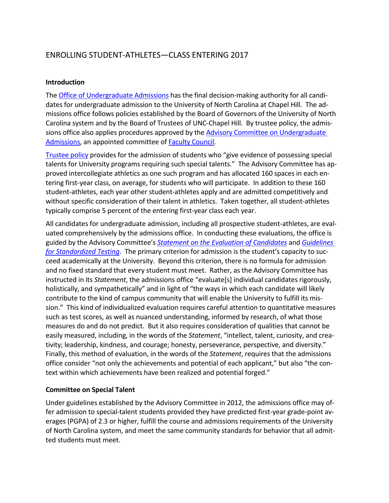# ENROLLING STUDENT-ATHLETES—CLASS ENTERING 2017

### **Introduction**

The [Office of Undergraduate Admissions](http://admissions.unc.edu/) has the final decision-making authority for all candidates for undergraduate admission to the University of North Carolina at Chapel Hill. The admissions office follows policies established by the Board of Governors of the University of North Carolina system and by the Board of Trustees of UNC-Chapel Hill. By trustee policy, the admis-sions office also applies procedures approved by the Advisory Committee on [Undergraduate](http://faccoun.unc.edu/committees-2/appointed-committees/undergraduate-admissions-committee/) [Admissions,](http://faccoun.unc.edu/committees-2/appointed-committees/undergraduate-admissions-committee/) an appointed committee of **Faculty Council**.

[Trustee](http://www.catalog.unc.edu/admissions/undergraduate/#admissionspolicytext) policy provides for the admission of students who "give evidence of possessing special talents for University programs requiring such special talents." The Advisory Committee has approved intercollegiate athletics as one such program and has allocated 160 spaces in each entering first-year class, on average, for students who will participate. In addition to these 160 student-athletes, each year other student-athletes apply and are admitted competitively and without specific consideration of their talent in athletics. Taken together, all student-athletes typically comprise 5 percent of the entering first-year class each year.

All candidates for undergraduate admission, including all prospective student-athletes, are evaluated comprehensively by the admissions office. In conducting these evaluations, the office is guided by the Advisory Committee's *[Statement on the Evaluation of Candidates](http://admissions.unc.edu/files/2013/09/Statement_on_the_Evaluation_of_Candidates.pdf)* and *[Guidelines](http://admissions.unc.edu/files/2013/09/Guidelines_for_Standardized_Testing.pdf)  [for Standardized Testing](http://admissions.unc.edu/files/2013/09/Guidelines_for_Standardized_Testing.pdf)*. The primary criterion for admission is the student's capacity to succeed academically at the University. Beyond this criterion, there is no formula for admission and no fixed standard that every student must meet. Rather, as the Advisory Committee has instructed in its *Statement*, the admissions office "evaluate[s] individual candidates rigorously, holistically, and sympathetically" and in light of "the ways in which each candidate will likely contribute to the kind of campus community that will enable the University to fulfill its mission." This kind of individualized evaluation requires careful attention to quantitative measures such as test scores, as well as nuanced understanding, informed by research, of what those measures do and do not predict. But it also requires consideration of qualities that cannot be easily measured, including, in the words of the *Statement*, "intellect, talent, curiosity, and creativity; leadership, kindness, and courage; honesty, perseverance, perspective, and diversity." Finally, this method of evaluation, in the words of the *Statement*, requires that the admissions office consider "not only the achievements and potential of each applicant," but also "the context within which achievements have been realized and potential forged."

### **Committee on Special Talent**

Under guidelines established by the Advisory Committee in 2012, the admissions office may offer admission to special-talent students provided they have predicted first-year grade-point averages (PGPA) of 2.3 or higher, fulfill the course and admissions requirements of the University of North Carolina system, and meet the same community standards for behavior that all admitted students must meet.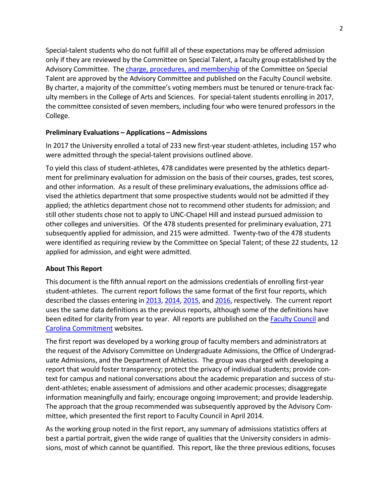Special-talent students who do not fulfill all of these expectations may be offered admission only if they are reviewed by the Committee on Special Talent, a faculty group established by the Advisory Committee. The charge, procedures, and [membership](http://faccoun.unc.edu/committees-2/appointed-committees/undergraduate-admissions-committee/committee-on-special-talent/) of the Committee on Special Talent are approved by the Advisory Committee and published on the Faculty Council website. By charter, a majority of the committee's voting members must be tenured or tenure-track faculty members in the College of Arts and Sciences. For special-talent students enrolling in 2017, the committee consisted of seven members, including four who were tenured professors in the College.

### **Preliminary Evaluations – Applications – Admissions**

In 2017 the University enrolled a total of 233 new first-year student-athletes, including 157 who were admitted through the special-talent provisions outlined above.

To yield this class of student-athletes, 478 candidates were presented by the athletics department for preliminary evaluation for admission on the basis of their courses, grades, test scores, and other information. As a result of these preliminary evaluations, the admissions office advised the athletics department that some prospective students would not be admitted if they applied; the athletics department chose not to recommend other students for admission; and still other students chose not to apply to UNC-Chapel Hill and instead pursued admission to other colleges and universities. Of the 478 students presented for preliminary evaluation, 271 subsequently applied for admission, and 215 were admitted. Twenty-two of the 478 students were identified as requiring review by the Committee on Special Talent; of these 22 students, 12 applied for admission, and eight were admitted.

### **About This Report**

This document is the fifth annual report on the admissions credentials of enrolling first-year student-athletes. The current report follows the same format of the first four reports, which described the classes entering in [2013,](http://facultygov.sites.unc.edu/files/2010/10/UAD2012-2013.pdf) [2014,](http://facultygov.sites.unc.edu/files/2010/10/UAD2013-2014_CORRECTED.pdf) [2015,](http://facultygov.sites.unc.edu/files/2010/10/UAD2014-15.pdf) and [2016,](https://facultygov.unc.edu/files/2017/02/UAD2016.pdf) respectively. The current report uses the same data definitions as the previous reports, although some of the definitions have been edited for clarity from year to year. All reports are published on the **Faculty Council** and [Carolina Commitment](http://carolinacommitment.unc.edu/) websites.

The first report was developed by a working group of faculty members and administrators at the request of the Advisory Committee on Undergraduate Admissions, the Office of Undergraduate Admissions, and the Department of Athletics. The group was charged with developing a report that would foster transparency; protect the privacy of individual students; provide context for campus and national conversations about the academic preparation and success of student-athletes; enable assessment of admissions and other academic processes; disaggregate information meaningfully and fairly; encourage ongoing improvement; and provide leadership. The approach that the group recommended was subsequently approved by the Advisory Committee, which presented the first report to Faculty Council in April 2014.

As the working group noted in the first report, any summary of admissions statistics offers at best a partial portrait, given the wide range of qualities that the University considers in admissions, most of which cannot be quantified. This report, like the three previous editions, focuses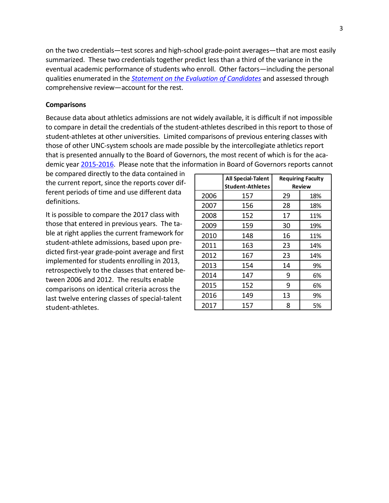on the two credentials—test scores and high-school grade-point averages—that are most easily summarized. These two credentials together predict less than a third of the variance in the eventual academic performance of students who enroll. Other factors—including the personal qualities enumerated in the *[Statement on the Evaluation of Candidates](http://admissions.unc.edu/files/2013/09/Statement_on_the_Evaluation_of_Candidates.pdf)* and assessed through comprehensive review—account for the rest.

### **Comparisons**

Because data about athletics admissions are not widely available, it is difficult if not impossible to compare in detail the credentials of the student-athletes described in this report to those of student-athletes at other universities. Limited comparisons of previous entering classes with those of other UNC-system schools are made possible by the intercollegiate athletics report that is presented annually to the Board of Governors, the most recent of which is for the academic year [2015-2016.](http://www.northcarolina.edu/apps/bog/doc.php?id=56863&code=bog) Please note that the information in Board of Governors reports cannot

be compared directly to the data contained in the current report, since the reports cover different periods of time and use different data definitions.

It is possible to compare the 2017 class with those that entered in previous years. The table at right applies the current framework for student-athlete admissions, based upon predicted first-year grade-point average and first implemented for students enrolling in 2013, retrospectively to the classes that entered between 2006 and 2012. The results enable comparisons on identical criteria across the last twelve entering classes of special-talent student-athletes.

|      | All Special-Talent<br><b>Student-Athletes</b> |    | <b>Requiring Faculty</b><br><b>Review</b> |
|------|-----------------------------------------------|----|-------------------------------------------|
| 2006 | 157                                           | 29 | 18%                                       |
| 2007 | 156                                           | 28 | 18%                                       |
| 2008 | 152                                           | 17 | 11%                                       |
| 2009 | 159                                           | 30 | 19%                                       |
| 2010 | 148                                           | 16 | 11%                                       |
| 2011 | 163                                           | 23 | 14%                                       |
| 2012 | 167                                           | 23 | 14%                                       |
| 2013 | 154                                           | 14 | 9%                                        |
| 2014 | 147                                           | 9  | 6%                                        |
| 2015 | 152                                           | 9  | 6%                                        |
| 2016 | 149                                           | 13 | 9%                                        |
| 2017 | 157                                           | 8  | 5%                                        |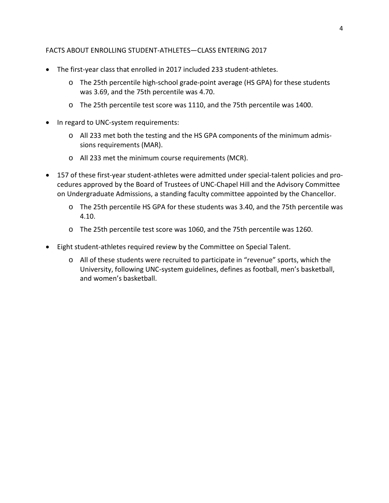### FACTS ABOUT ENROLLING STUDENT-ATHLETES—CLASS ENTERING 2017

- The first-year class that enrolled in 2017 included 233 student-athletes.
	- o The 25th percentile high-school grade-point average (HS GPA) for these students was 3.69, and the 75th percentile was 4.70.
	- o The 25th percentile test score was 1110, and the 75th percentile was 1400.
- In regard to UNC-system requirements:
	- o All 233 met both the testing and the HS GPA components of the minimum admissions requirements (MAR).
	- o All 233 met the minimum course requirements (MCR).
- 157 of these first-year student-athletes were admitted under special-talent policies and procedures approved by the Board of Trustees of UNC-Chapel Hill and the Advisory Committee on Undergraduate Admissions, a standing faculty committee appointed by the Chancellor.
	- o The 25th percentile HS GPA for these students was 3.40, and the 75th percentile was 4.10.
	- o The 25th percentile test score was 1060, and the 75th percentile was 1260.
- Eight student-athletes required review by the Committee on Special Talent.
	- o All of these students were recruited to participate in "revenue" sports, which the University, following UNC-system guidelines, defines as football, men's basketball, and women's basketball.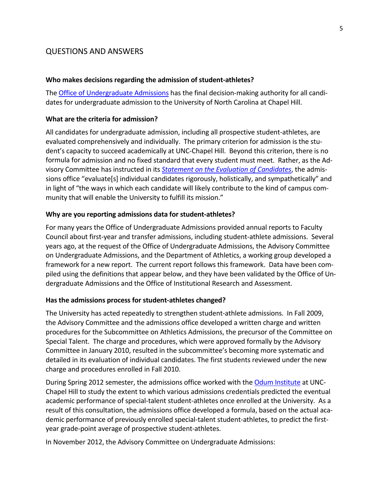# QUESTIONS AND ANSWERS

#### **Who makes decisions regarding the admission of student-athletes?**

The Office of [Undergraduate](http://admissions.unc.edu/) Admissions has the final decision-making authority for all candidates for undergraduate admission to the University of North Carolina at Chapel Hill.

### **What are the criteria for admission?**

All candidates for undergraduate admission, including all prospective student-athletes, are evaluated comprehensively and individually. The primary criterion for admission is the student's capacity to succeed academically at UNC-Chapel Hill. Beyond this criterion, there is no formula for admission and no fixed standard that every student must meet. Rather, as the Advisory Committee has instructed in its *Statement on the Evaluation of [Candidates](http://admissions.unc.edu/files/2013/09/Statement_on_the_Evaluation_of_Candidates.pdf)*, the admissions office "evaluate[s] individual candidates rigorously, holistically, and sympathetically" and in light of "the ways in which each candidate will likely contribute to the kind of campus community that will enable the University to fulfill its mission."

#### **Why are you reporting admissions data for student-athletes?**

For many years the Office of Undergraduate Admissions provided annual reports to Faculty Council about first-year and transfer admissions, including student-athlete admissions. Several years ago, at the request of the Office of Undergraduate Admissions, the Advisory Committee on Undergraduate Admissions, and the Department of Athletics, a working group developed a framework for a new report. The current report follows this framework. Data have been compiled using the definitions that appear below, and they have been validated by the Office of Undergraduate Admissions and the Office of Institutional Research and Assessment.

#### **Has the admissions process for student-athletes changed?**

The University has acted repeatedly to strengthen student-athlete admissions. In Fall 2009, the Advisory Committee and the admissions office developed a written charge and written procedures for the Subcommittee on Athletics Admissions, the precursor of the Committee on Special Talent. The charge and procedures, which were approved formally by the Advisory Committee in January 2010, resulted in the subcommittee's becoming more systematic and detailed in its evaluation of individual candidates. The first students reviewed under the new charge and procedures enrolled in Fall 2010.

During Spring 2012 semester, the admissions office worked with th[e Odum Institute](http://www.odum.unc.edu/odum/home2.jsp) at UNC-Chapel Hill to study the extent to which various admissions credentials predicted the eventual academic performance of special-talent student-athletes once enrolled at the University. As a result of this consultation, the admissions office developed a formula, based on the actual academic performance of previously enrolled special-talent student-athletes, to predict the firstyear grade-point average of prospective student-athletes.

In November 2012, the Advisory Committee on Undergraduate Admissions: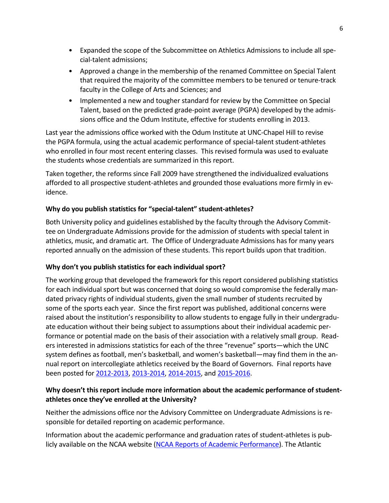- Expanded the scope of the Subcommittee on Athletics Admissions to include all special-talent admissions;
- Approved a change in the membership of the renamed Committee on Special Talent that required the majority of the committee members to be tenured or tenure-track faculty in the College of Arts and Sciences; and
- Implemented a new and tougher standard for review by the Committee on Special Talent, based on the predicted grade-point average (PGPA) developed by the admissions office and the Odum Institute, effective for students enrolling in 2013.

Last year the admissions office worked with the Odum Institute at UNC-Chapel Hill to revise the PGPA formula, using the actual academic performance of special-talent student-athletes who enrolled in four most recent entering classes. This revised formula was used to evaluate the students whose credentials are summarized in this report.

Taken together, the reforms since Fall 2009 have strengthened the individualized evaluations afforded to all prospective student-athletes and grounded those evaluations more firmly in evidence.

# **Why do you publish statistics for "special-talent" student-athletes?**

Both University policy and guidelines established by the faculty through the Advisory Committee on Undergraduate Admissions provide for the admission of students with special talent in athletics, music, and dramatic art. The Office of Undergraduate Admissions has for many years reported annually on the admission of these students. This report builds upon that tradition.

# **Why don't you publish statistics for each individual sport?**

The working group that developed the framework for this report considered publishing statistics for each individual sport but was concerned that doing so would compromise the federally mandated privacy rights of individual students, given the small number of students recruited by some of the sports each year. Since the first report was published, additional concerns were raised about the institution's responsibility to allow students to engage fully in their undergraduate education without their being subject to assumptions about their individual academic performance or potential made on the basis of their association with a relatively small group. Readers interested in admissions statistics for each of the three "revenue" sports—which the UNC system defines as football, men's basketball, and women's basketball—may find them in the annual report on intercollegiate athletics received by the Board of Governors. Final reports have been posted for [2012-2013,](http://www.northcarolina.edu/sites/default/files/item_9_unc_intercollegiate_athletics_report_1012-2013.pdf) [2013-2014,](http://www.northcarolina.edu/apps/bog/doc.php?id=45490&code=bog) [2014-2015,](http://www.northcarolina.edu/apps/bog/doc.php?id=50200&code=bog) and [2015-2016.](http://www.northcarolina.edu/apps/bog/doc.php?id=56863&code=bog)

# **Why doesn't this report include more information about the academic performance of studentathletes once they've enrolled at the University?**

Neither the admissions office nor the Advisory Committee on Undergraduate Admissions is responsible for detailed reporting on academic performance.

Information about the academic performance and graduation rates of student-athletes is publicly available on the NCAA website (NCAA Reports of Academic [Performance\)](http://fs.ncaa.org/Docs/newmedia/public/rates/index.html). The Atlantic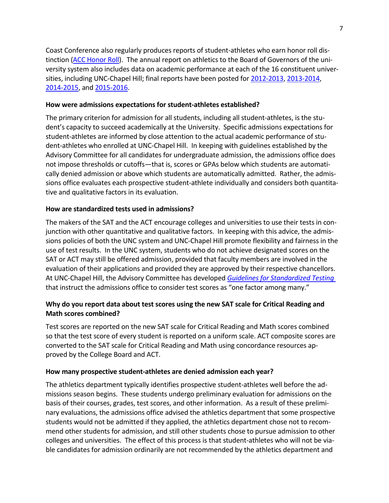Coast Conference also regularly produces reports of student-athletes who earn honor roll distinction (ACC [Honor](http://www.theacc.com/news/acc-announces-honor-roll-for-2015-2016-academic-year-07-07-2016) Roll). The annual report on athletics to the Board of Governors of the university system also includes data on academic performance at each of the 16 constituent universities, including UNC-Chapel Hill; final reports have been posted for [2012-2013,](http://www.northcarolina.edu/sites/default/files/item_9_unc_intercollegiate_athletics_report_1012-2013.pdf) [2013-2014,](http://www.northcarolina.edu/apps/bog/doc.php?id=45490&code=bog) [2014-2015,](http://www.northcarolina.edu/apps/bog/doc.php?id=50200&code=bog) an[d 2015-2016.](http://www.northcarolina.edu/apps/bog/doc.php?id=56863&code=bog)

### **How were admissions expectations for student-athletes established?**

The primary criterion for admission for all students, including all student-athletes, is the student's capacity to succeed academically at the University. Specific admissions expectations for student-athletes are informed by close attention to the actual academic performance of student-athletes who enrolled at UNC-Chapel Hill. In keeping with guidelines established by the Advisory Committee for all candidates for undergraduate admission, the admissions office does not impose thresholds or cutoffs—that is, scores or GPAs below which students are automatically denied admission or above which students are automatically admitted. Rather, the admissions office evaluates each prospective student-athlete individually and considers both quantitative and qualitative factors in its evaluation.

### **How are standardized tests used in admissions?**

The makers of the SAT and the ACT encourage colleges and universities to use their tests in conjunction with other quantitative and qualitative factors. In keeping with this advice, the admissions policies of both the UNC system and UNC-Chapel Hill promote flexibility and fairness in the use of test results. In the UNC system, students who do not achieve designated scores on the SAT or ACT may still be offered admission, provided that faculty members are involved in the evaluation of their applications and provided they are approved by their respective chancellors. At UNC-Chapel Hill, the Advisory Committee has developed *Guidelines for [Standardized](http://admissions.unc.edu/files/2013/09/Guidelines_for_Standardized_Testing.pdf) Testing* that instruct the admissions office to consider test scores as "one factor among many."

# **Why do you report data about test scores using the new SAT scale for Critical Reading and Math scores combined?**

Test scores are reported on the new SAT scale for Critical Reading and Math scores combined so that the test score of every student is reported on a uniform scale. ACT composite scores are converted to the SAT scale for Critical Reading and Math using concordance resources approved by the College Board and ACT.

### **How many prospective student-athletes are denied admission each year?**

The athletics department typically identifies prospective student-athletes well before the admissions season begins. These students undergo preliminary evaluation for admissions on the basis of their courses, grades, test scores, and other information. As a result of these preliminary evaluations, the admissions office advised the athletics department that some prospective students would not be admitted if they applied, the athletics department chose not to recommend other students for admission, and still other students chose to pursue admission to other colleges and universities. The effect of this process is that student-athletes who will not be viable candidates for admission ordinarily are not recommended by the athletics department and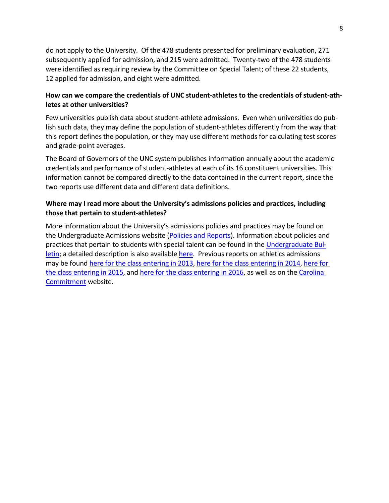do not apply to the University. Of the 478 students presented for preliminary evaluation, 271 subsequently applied for admission, and 215 were admitted. Twenty-two of the 478 students were identified as requiring review by the Committee on Special Talent; of these 22 students, 12 applied for admission, and eight were admitted.

# **How can we compare the credentials of UNC student-athletes to the credentials of student-athletes at other universities?**

Few universities publish data about student-athlete admissions. Even when universities do publish such data, they may define the population of student-athletes differently from the way that this report defines the population, or they may use different methods for calculating test scores and grade-point averages.

The Board of Governors of the UNC system publishes information annually about the academic credentials and performance of student-athletes at each of its 16 constituent universities. This information cannot be compared directly to the data contained in the current report, since the two reports use different data and different data definitions.

### **Where may I read more about the University's admissions policies and practices, including those that pertain to student-athletes?**

More information about the University's admissions policies and practices may be found on the Undergraduate Admissions website (Policies and [Reports\)](http://admissions.unc.edu/policies-and-reports/). Information about policies and practices that pertain to students with special talent can be found in the [Undergraduate](http://www.unc.edu/ugradbulletin/admissions.html) Bul[letin;](http://www.unc.edu/ugradbulletin/admissions.html) a detailed description is also availabl[e here.](http://www.unc.edu/sacs/Jan2015/Reports/3.4.3-Admission.html) Previous reports on athletics admissions may be found [here for the class entering in 2013,](http://faccoun.unc.edu/wp-content/uploads/2010/10/UAD2012-2013.pdf) [here for the class entering in 2014,](http://faccoun.unc.edu/wp-content/uploads/2010/10/UAD2013-2014_CORRECTED.pdf) [here for](http://facultygov.sites.unc.edu/files/2010/10/UAD2014-15.pdf)  [the class entering in 2015,](http://facultygov.sites.unc.edu/files/2010/10/UAD2014-15.pdf) and [here for the class entering in 2016,](https://facultygov.unc.edu/files/2017/02/UAD2016.pdf) as well as on th[e Carolina](http://carolinacommitment.unc.edu/)  [Commitment](http://carolinacommitment.unc.edu/) website.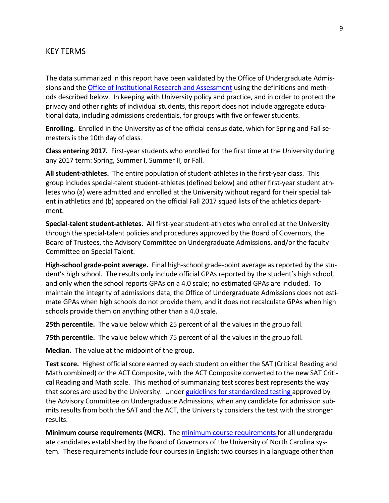# KEY TERMS

The data summarized in this report have been validated by the Office of Undergraduate Admissions and the Office of [Institutional](https://oira.unc.edu/) Research and Assessment using the definitions and methods described below. In keeping with University policy and practice, and in order to protect the privacy and other rights of individual students, this report does not include aggregate educational data, including admissions credentials, for groups with five or fewer students.

**Enrolling.** Enrolled in the University as of the official census date, which for Spring and Fall semesters is the 10th day of class.

**Class entering 2017.** First-year students who enrolled for the first time at the University during any 2017 term: Spring, Summer I, Summer II, or Fall.

**All student-athletes.** The entire population of student-athletes in the first-year class. This group includes special-talent student-athletes (defined below) and other first-year student athletes who (a) were admitted and enrolled at the University without regard for their special talent in athletics and (b) appeared on the official Fall 2017 squad lists of the athletics department.

**Special-talent student-athletes.** All first-year student-athletes who enrolled at the University through the special-talent policies and procedures approved by the Board of Governors, the Board of Trustees, the Advisory Committee on Undergraduate Admissions, and/or the faculty Committee on Special Talent.

**High-school grade-point average.** Final high-school grade-point average as reported by the student's high school. The results only include official GPAs reported by the student's high school, and only when the school reports GPAs on a 4.0 scale; no estimated GPAs are included. To maintain the integrity of admissions data, the Office of Undergraduate Admissions does not estimate GPAs when high schools do not provide them, and it does not recalculate GPAs when high schools provide them on anything other than a 4.0 scale.

**25th percentile.** The value below which 25 percent of all the values in the group fall.

**75th percentile.** The value below which 75 percent of all the values in the group fall.

**Median.** The value at the midpoint of the group.

**Test score.** Highest official score earned by each student on either the SAT (Critical Reading and Math combined) or the ACT Composite, with the ACT Composite converted to the new SAT Critical Reading and Math scale. This method of summarizing test scores best represents the way that scores are used by the University. Under guidelines for [standardized](http://admissions.unc.edu/files/2013/09/Guidelines_for_Standardized_Testing.pdf) testing approved by the Advisory Committee on Undergraduate Admissions, when any candidate for admission submits results from both the SAT and the ACT, the University considers the test with the stronger results.

**Minimum course requirements (MCR).** The minimum course [requirements](http://www.northcarolina.edu/aa/admissions/requirements.htm) for all undergraduate candidates established by the Board of Governors of the University of North Carolina system. These requirements include four courses in English; two courses in a language other than